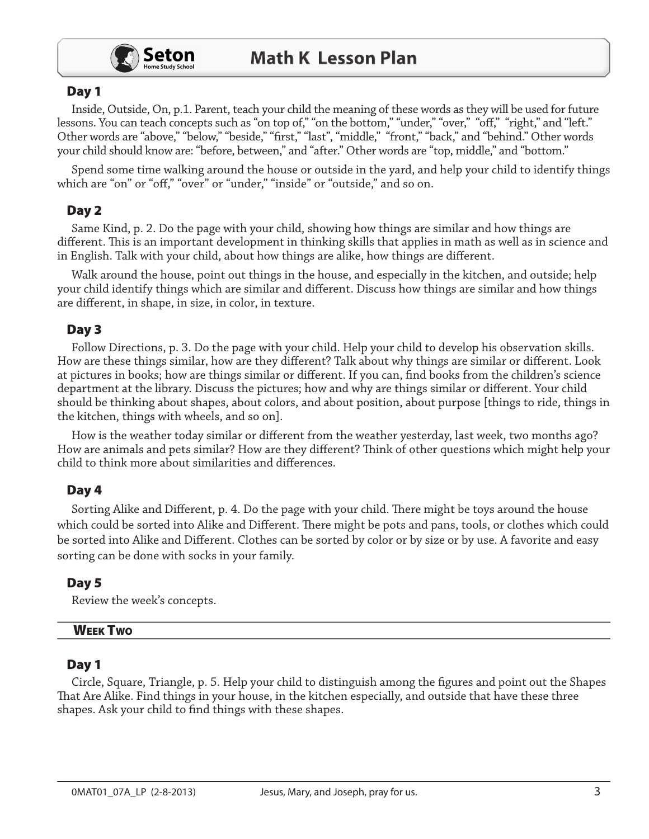

#### Day 1

Inside, Outside, On, p.1. Parent, teach your child the meaning of these words as they will be used for future lessons. You can teach concepts such as "on top of," "on the bottom," "under," "over," "off," "right," and "left." Other words are "above," "below," "beside," "first," "last", "middle," "front," "back," and "behind." Other words your child should know are: "before, between," and "after." Other words are "top, middle," and "bottom."

Spend some time walking around the house or outside in the yard, and help your child to identify things which are "on" or "off," "over" or "under," "inside" or "outside," and so on.

#### Day 2

Same Kind, p. 2. Do the page with your child, showing how things are similar and how things are different. This is an important development in thinking skills that applies in math as well as in science and in English. Talk with your child, about how things are alike, how things are different.

Walk around the house, point out things in the house, and especially in the kitchen, and outside; help your child identify things which are similar and different. Discuss how things are similar and how things are different, in shape, in size, in color, in texture.

#### Day 3

Follow Directions, p. 3. Do the page with your child. Help your child to develop his observation skills. How are these things similar, how are they different? Talk about why things are similar or different. Look at pictures in books; how are things similar or different. If you can, find books from the children's science department at the library. Discuss the pictures; how and why are things similar or different. Your child should be thinking about shapes, about colors, and about position, about purpose [things to ride, things in the kitchen, things with wheels, and so on.

How is the weather today similar or different from the weather yesterday, last week, two months ago? How are animals and pets similar? How are they different? Think of other questions which might help your child to think more about similarities and differences.

## Day 4

Sorting Alike and Different, p. 4. Do the page with your child. There might be toys around the house which could be sorted into Alike and Different. There might be pots and pans, tools, or clothes which could be sorted into Alike and Different. Clothes can be sorted by color or by size or by use. A favorite and easy sorting can be done with socks in your family.

## Day 5

Review the week's concepts.

#### **WEEK TWO**

## Day 1

Circle, Square, Triangle, p. 5. Help your child to distinguish among the figures and point out the Shapes That Are Alike. Find things in your house, in the kitchen especially, and outside that have these three shapes. Ask your child to find things with these shapes.